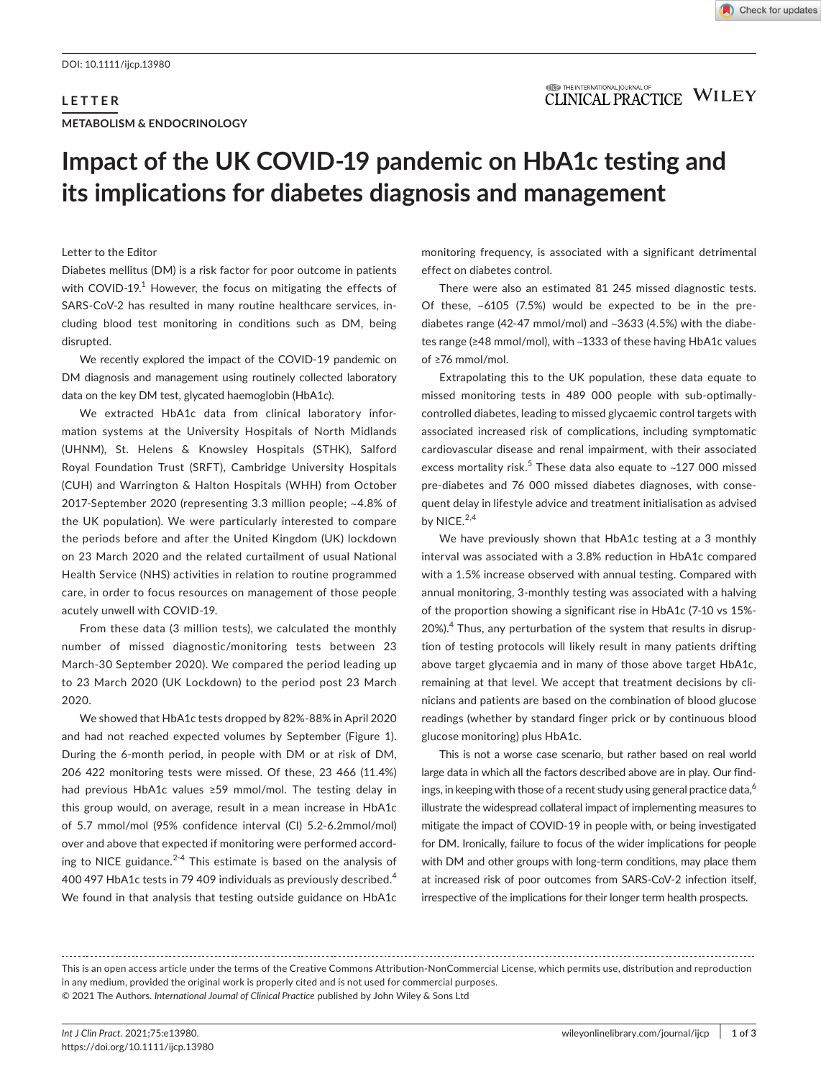# **LETTER METABOLISM & ENDOCRINOLOGY**

### **ITED** THE INTERNATIONAL JOURNAL OF **CLINICAL PRACTICE WILEY**

# **Impact of the UK COVID-19 pandemic on HbA1c testing and its implications for diabetes diagnosis and management**

#### Letter to the Editor

Diabetes mellitus (DM) is a risk factor for poor outcome in patients with COVID-19.<sup>1</sup> However, the focus on mitigating the effects of SARS-CoV-2 has resulted in many routine healthcare services, including blood test monitoring in conditions such as DM, being disrupted.

We recently explored the impact of the COVID-19 pandemic on DM diagnosis and management using routinely collected laboratory data on the key DM test, glycated haemoglobin (HbA1c).

We extracted HbA1c data from clinical laboratory information systems at the University Hospitals of North Midlands (UHNM), St. Helens & Knowsley Hospitals (STHK), Salford Royal Foundation Trust (SRFT), Cambridge University Hospitals (CUH) and Warrington & Halton Hospitals (WHH) from October 2017-September 2020 (representing 3.3 million people; ~4.8% of the UK population). We were particularly interested to compare the periods before and after the United Kingdom (UK) lockdown on 23 March 2020 and the related curtailment of usual National Health Service (NHS) activities in relation to routine programmed care, in order to focus resources on management of those people acutely unwell with COVID-19.

From these data (3 million tests), we calculated the monthly number of missed diagnostic/monitoring tests between 23 March-30 September 2020). We compared the period leading up to 23 March 2020 (UK Lockdown) to the period post 23 March 2020.

We showed that HbA1c tests dropped by 82%-88% in April 2020 and had not reached expected volumes by September (Figure 1). During the 6-month period, in people with DM or at risk of DM, 206 422 monitoring tests were missed. Of these, 23 466 (11.4%) had previous HbA1c values ≥59 mmol/mol. The testing delay in this group would, on average, result in a mean increase in HbA1c of 5.7 mmol/mol (95% confidence interval (CI) 5.2-6.2mmol/mol) over and above that expected if monitoring were performed according to NICE guidance.<sup>2-4</sup> This estimate is based on the analysis of 400 497 HbA1c tests in 79 409 individuals as previously described.<sup>4</sup> We found in that analysis that testing outside guidance on HbA1c monitoring frequency, is associated with a significant detrimental effect on diabetes control.

There were also an estimated 81 245 missed diagnostic tests. Of these, ~6105 (7.5%) would be expected to be in the prediabetes range (42-47 mmol/mol) and ~3633 (4.5%) with the diabetes range (≥48 mmol/mol), with ~1333 of these having HbA1c values of ≥76 mmol/mol.

Extrapolating this to the UK population, these data equate to missed monitoring tests in 489 000 people with sub-optimallycontrolled diabetes, leading to missed glycaemic control targets with associated increased risk of complications, including symptomatic cardiovascular disease and renal impairment, with their associated excess mortality risk.<sup>5</sup> These data also equate to  $\sim$ 127 000 missed pre-diabetes and 76 000 missed diabetes diagnoses, with consequent delay in lifestyle advice and treatment initialisation as advised by NICE. $2,4$ 

We have previously shown that HbA1c testing at a 3 monthly interval was associated with a 3.8% reduction in HbA1c compared with a 1.5% increase observed with annual testing. Compared with annual monitoring, 3-monthly testing was associated with a halving of the proportion showing a significant rise in HbA1c (7-10 vs 15%- 20%).<sup>4</sup> Thus, any perturbation of the system that results in disruption of testing protocols will likely result in many patients drifting above target glycaemia and in many of those above target HbA1c, remaining at that level. We accept that treatment decisions by clinicians and patients are based on the combination of blood glucose readings (whether by standard finger prick or by continuous blood glucose monitoring) plus HbA1c.

This is not a worse case scenario, but rather based on real world large data in which all the factors described above are in play. Our findings, in keeping with those of a recent study using general practice data,  $6\%$ illustrate the widespread collateral impact of implementing measures to mitigate the impact of COVID-19 in people with, or being investigated for DM. Ironically, failure to focus of the wider implications for people with DM and other groups with long-term conditions, may place them at increased risk of poor outcomes from SARS-CoV-2 infection itself, irrespective of the implications for their longer term health prospects.

This is an open access article under the terms of the [Creative Commons Attribution-NonCommercial](http://creativecommons.org/licenses/by-nc/4.0/) License, which permits use, distribution and reproduction in any medium, provided the original work is properly cited and is not used for commercial purposes. © 2021 The Authors. *International Journal of Clinical Practice* published by John Wiley & Sons Ltd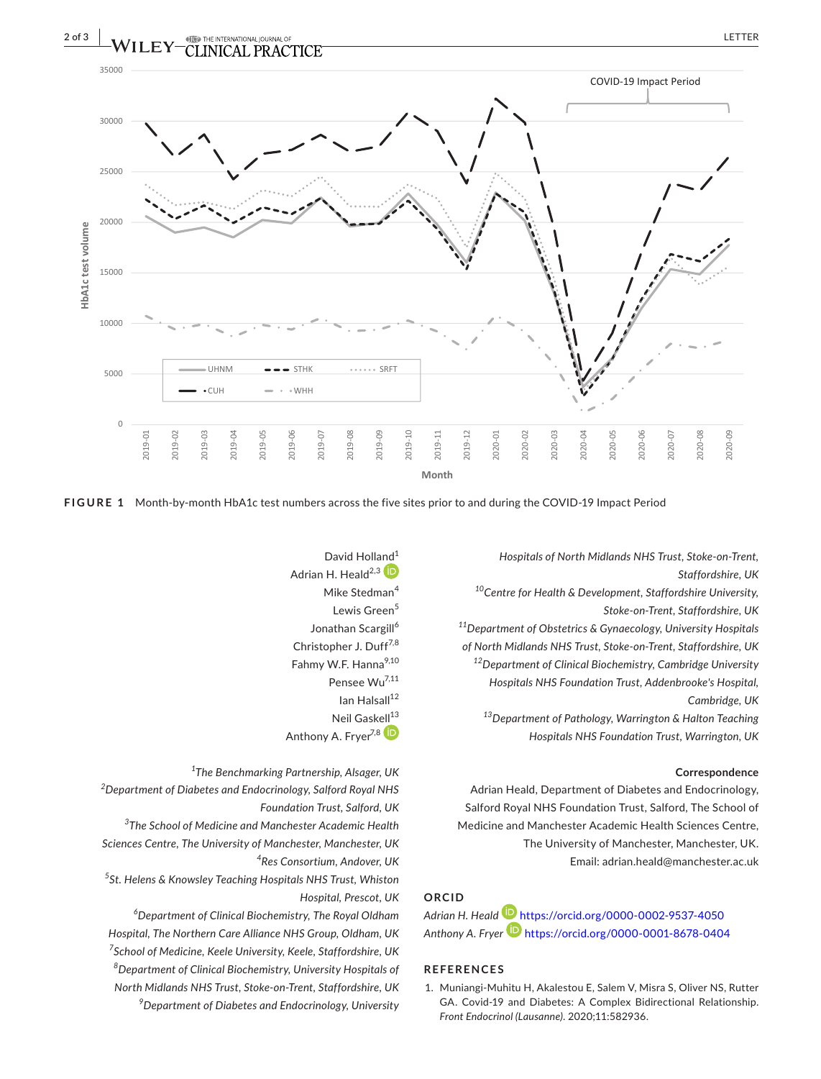

**FIGURE 1** Month-by-month HbA1c test numbers across the five sites prior to and during the COVID-19 Impact Period

David Holl[and](https://orcid.org/0000-0002-9537-4050)<sup>1</sup> Adrian H. Heald<sup>2,3</sup> Mike Stedman<sup>4</sup> Lewis Green<sup>5</sup> Jonathan Scargill<sup>6</sup> Christopher J. Duff<sup>7,8</sup> Fahmy W.F. Hanna<sup>9,10</sup> Pensee Wu7,11  $Ian$  Halsall $12$ Neil Gask[ell](https://orcid.org/0000-0001-8678-0404) $^{13}$ Anthony A. Fryer<sup>7,8</sup>

*1 The Benchmarking Partnership, Alsager, UK*

*2 Department of Diabetes and Endocrinology, Salford Royal NHS Foundation Trust, Salford, UK*

*3 The School of Medicine and Manchester Academic Health Sciences Centre, The University of Manchester, Manchester, UK 4 Res Consortium, Andover, UK*

*5 St. Helens & Knowsley Teaching Hospitals NHS Trust, Whiston Hospital, Prescot, UK*

 *Department of Clinical Biochemistry, The Royal Oldham Hospital, The Northern Care Alliance NHS Group, Oldham, UK School of Medicine, Keele University, Keele, Staffordshire, UK Department of Clinical Biochemistry, University Hospitals of North Midlands NHS Trust, Stoke-on-Trent, Staffordshire, UK Department of Diabetes and Endocrinology, University*  *Hospitals of North Midlands NHS Trust, Stoke-on-Trent, Staffordshire, UK*

*10Centre for Health & Development, Staffordshire University, Stoke-on-Trent, Staffordshire, UK*

*11Department of Obstetrics & Gynaecology, University Hospitals of North Midlands NHS Trust, Stoke-on-Trent, Staffordshire, UK 12Department of Clinical Biochemistry, Cambridge University Hospitals NHS Foundation Trust, Addenbrooke's Hospital, Cambridge, UK*

*13Department of Pathology, Warrington & Halton Teaching Hospitals NHS Foundation Trust, Warrington, UK*

#### **Correspondence**

Adrian Heald, Department of Diabetes and Endocrinology, Salford Royal NHS Foundation Trust, Salford, The School of Medicine and Manchester Academic Health Sciences Centre, The University of Manchester, Manchester, UK. Email: [adrian.heald@manchester.ac.uk](mailto:adrian.heald@manchester.ac.uk)

## **ORCID**

*Adrian H. Heald* <https://orcid.org/0000-0002-9537-4050> Anthony A. Fryer<sup>D</sup> <https://orcid.org/0000-0001-8678-0404>

#### **REFERENCES**

1. Muniangi-Muhitu H, Akalestou E, Salem V, Misra S, Oliver NS, Rutter GA. Covid-19 and Diabetes: A Complex Bidirectional Relationship. *Front Endocrinol (Lausanne)*. 2020;11:582936.